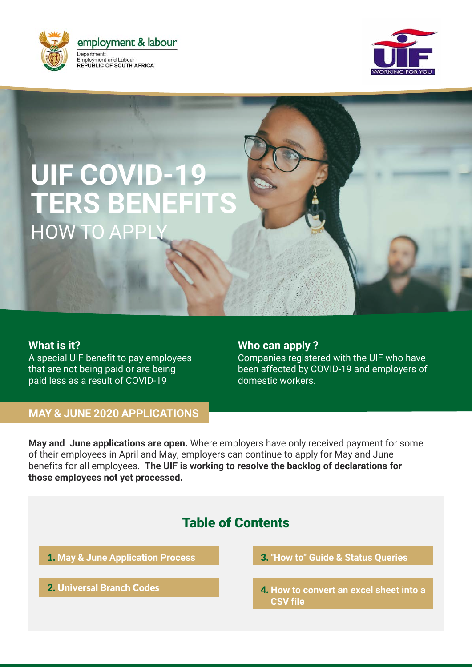



# **UIF COVID-19 TERS BENEFITS HOW TO APP**

#### **What is it?**

A special UIF benefit to pay employees that are not being paid or are being paid less as a result of COVID-19

### **Who can apply ?**

Companies registered with the UIF who have been affected by COVID-19 and employers of domestic workers.

#### **MAY & JUNE 2020 APPLICATIONS**

**May and June applications are open.** Where employers have only received payment for some of their employees in April and May, employers can continue to apply for May and June benefits for all employees. **The UIF is working to resolve the backlog of declarations for those employees not yet processed.**

# Table of Contents

1. **[May & June Application](#page-1-0) Process**

2. [Universal](#page-6-0) Branch Codes

3. **["How to" Guide](#page-7-0) & Status Queries**

4. **[How to convert an excel sheet](#page-9-0) into a CSV file**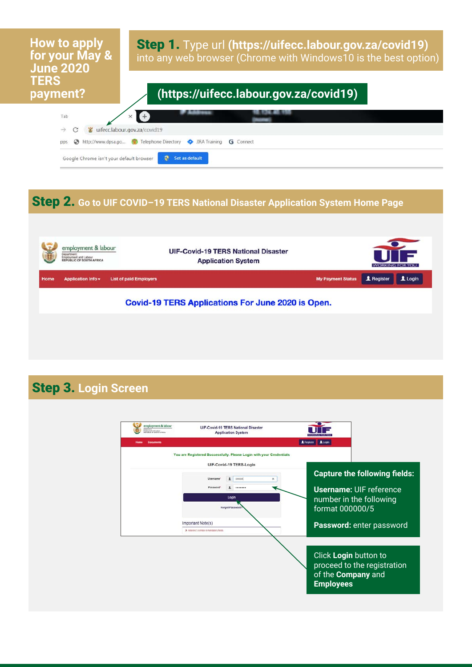# <span id="page-1-0"></span>**How to apply for your May & June 2020 TERS**

Step 1. Type url **(https://uifecc.labour.gov.za/covid19)**  into any web browser (Chrome with Windows10 is the best option)

# **payment? (https://uifecc.labour.gov.za/covid19)**



# Step 2. **Go to UIF COVID–19 TERS National Disaster Application System Home Page**



## Step 3. **Login Screen**

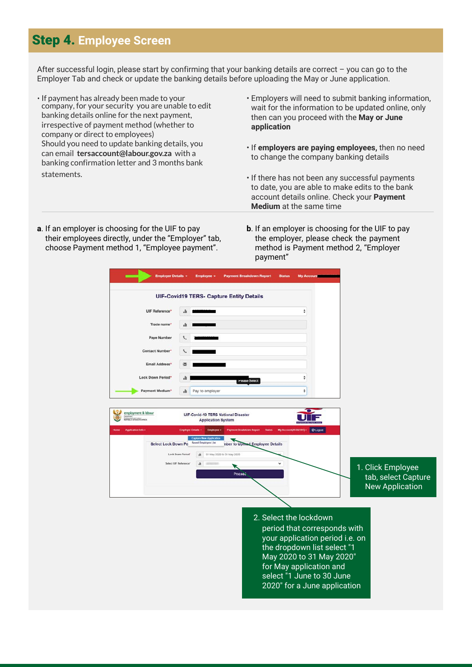### Step 4. **Employee Screen**

After successful login, please start by confirming that your banking details are correct – you can go to the Employer Tab and check or update the banking details before uploading the May or June application.

- If payment has already been made to your company, for your security you are unable to edit banking details online for the next payment, irrespective of payment method (whether to company or direct to employees) Should you need to update banking details, you can email  **tersaccount@labour.gov.za** with a banking confirmation letter and 3 months bank statements.
- Employers will need to submit banking information, wait for the information to be updated online, only then can you proceed with the **May or June application**
- If **employers are paying employees,** then no need to change the company banking details
- If there has not been any successful payments to date, you are able to make edits to the bank account details online. Check your **Payment Medium** at the same time
- **a**. If an employer is choosing for the UIF to pay their employees directly, under the "Employer" tab, choose Payment method 1, "Employee payment".
- **b**. If an employer is choosing for the UIF to pay the employer, please check the payment method is Payment method 2, "Employer payment"

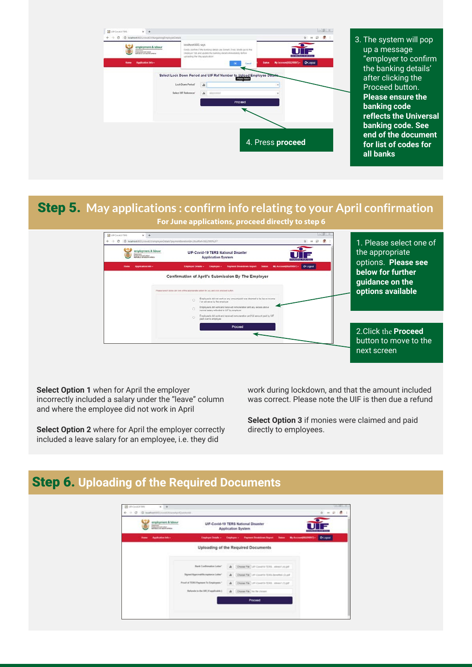

3. The system will pop up a message "employer to confirm the banking details' after clicking the Proceed button. **Please ensure the banking code reflects the Universal banking code. See end of the document for list of codes for all banks**

# Step 5. **May applications : confirm info relating to your April confirmation**

**For June applications, proceed directly to step 6**



1. Please select one of the appropriate options. **Please see below for further guidance on the options available**

2. Click the **Proceed** button to move to the next screen

**Select Option 1** when for April the employer incorrectly included a salary under the "leave" column and where the employee did not work in April

**Select Option 2** where for April the employer correctly included a leave salary for an employee, i.e. they did

work during lockdown, and that the amount included was correct. Please note the UIF is then due a refund

**Select Option 3** if monies were claimed and paid directly to employees.

### Step 6. **Uploading of the Required Documents**

| employment & labour     |                                      | UIF-Covid-19 TERS National Disaster<br>Application System                                        |  |
|-------------------------|--------------------------------------|--------------------------------------------------------------------------------------------------|--|
| Application letter<br>- |                                      | Engineer Details + Engineer + Payment Desidents Deput - States - My Account 002201971 - C-Logost |  |
|                         |                                      | Uploading of the Required Documents                                                              |  |
|                         |                                      |                                                                                                  |  |
|                         | Bank Confirmation Letter".           | A Choose File List Coverts TCFS, winest Licht                                                    |  |
|                         | Signed Approval Accorpisors Letter"  | A Choose Fig. LIF-Coverts-TERIS-Denoted cluster                                                  |  |
|                         | Proof of TERS Payment To Employees." | A Croose File LIF-County-TERS, alleged 15.pdf                                                    |  |
|                         | Refunds to the UIF( If applicable )  | Ja Choose File   the Sie choose                                                                  |  |
|                         |                                      | Proceed                                                                                          |  |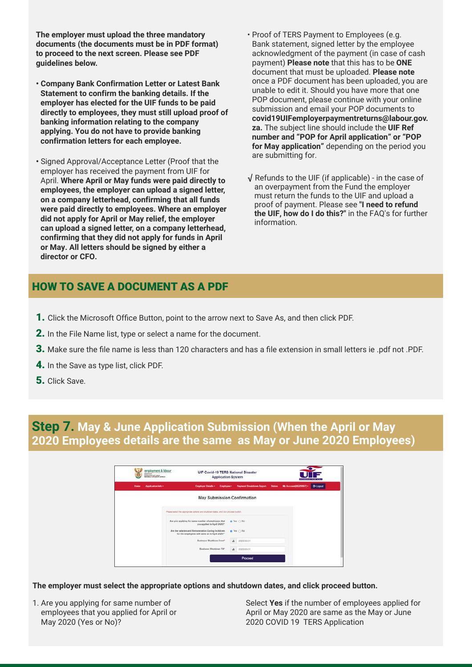**The employer must upload the three mandatory documents (the documents must be in PDF format) to proceed to the next screen. Please see PDF guidelines below.**

- **• Company Bank Confirmation Letter or Latest Bank Statement to confirm the banking details. If the employer has elected for the UIF funds to be paid directly to employees, they must still upload proof of banking information relating to the company applying. You do not have to provide banking confirmation letters for each employee.**
- **•** Signed Approval/Acceptance Letter (Proof that the employer has received the payment from UIF for April. **Where April or May funds were paid directly to employees, the employer can upload a signed letter, on a company letterhead, confirming that all funds were paid directly to employees. Where an employer did not apply for April or May relief, the employer can upload a signed letter, on a company letterhead, confirming that they did not apply for funds in April or May. All letters should be signed by either a director or CFO.**
- Proof of TERS Payment to Employees (e.g. Bank statement, signed letter by the employee acknowledgment of the payment (in case of cash payment) **Please note** that this has to be **ONE** document that must be uploaded. **Please note**  once a PDF document has been uploaded, you are unable to edit it. Should you have more that one POP document, please continue with your online submission and email your POP documents to **covid19UIFemployerpaymentreturns@labour.gov. za.** The subject line should include the **UIF Ref number and "POP for April application" or "POP for May application"** depending on the period you are submitting for.
- √ Refunds to the UIF (if applicable) in the case of an overpayment from the Fund the employer must return the funds to the UIF and upload a proof of payment. Please see **"I need to refund the UIF, how do I do this?"** in the FAQ's for further information.

#### HOW TO SAVE A DOCUMENT AS A PDF

- 1. Click the Microsoft Office Button, point to the arrow next to Save As, and then click PDF.
- 2. In the File Name list, type or select a name for the document.
- 3. Make sure the file name is less than 120 characters and has a file extension in small letters ie .pdf not .PDF.
- 4. In the Save as type list, click PDF.
- 5. Click Save.

#### **Step 7. May & June Application Submission (When the April or May 2020 Employees details are the same as May or June 2020 Employees)**

|             | Employment and Labour<br>Anchudout car popullis Armeta |                                                                                                      | <b>Application System</b> |                                 |               |                         | <b>SYLTAGE IRON'S REIGH VE IL</b> |
|-------------|--------------------------------------------------------|------------------------------------------------------------------------------------------------------|---------------------------|---------------------------------|---------------|-------------------------|-----------------------------------|
| <b>Home</b> | Application Info -                                     | <b>Employer Details +</b>                                                                            | Employee =                | <b>Payment Breakdown Report</b> | <b>Status</b> | My Account(0822985(f) + | <b>C-Logost</b>                   |
|             |                                                        | May Submission Confirmation                                                                          |                           |                                 |               |                         |                                   |
|             |                                                        | Please select the appropriate options and shutcoart dates, and click proceed button.                 |                           |                                 |               |                         |                                   |
|             |                                                        | Are you applying for same number of employees that<br>you applied in April 2020?"                    |                           | When C No.                      |               |                         |                                   |
|             |                                                        | Are the salaries and Remuneration During lockdown<br>for the employees still same as in April 2020?" |                           | W Yes ( No                      |               |                         |                                   |
|             |                                                        | Business Shindown From*                                                                              | de .                      | 2020/05/21                      |               |                         |                                   |
|             |                                                        | <b>Business Shutdown Till®</b>                                                                       | a.                        | 2020/05/31                      |               |                         |                                   |
|             |                                                        |                                                                                                      |                           | Proceed                         |               |                         |                                   |

**The employer must select the appropriate options and shutdown dates, and click proceed button.**

1. Are you applying for same number of employees that you applied for April or May 2020 (Yes or No)?

Select **Yes** if the number of employees applied for April or May 2020 are same as the May or June 2020 COVID 19 TERS Application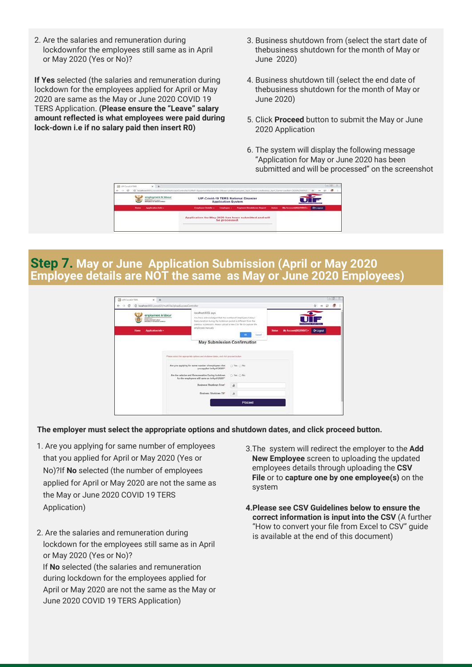2. Are the salaries and remuneration during lockdownfor the employees still same as in April or May 2020 (Yes or No)?

**If Yes** selected (the salaries and remuneration during lockdown for the employees applied for April or May 2020 are same as the May or June 2020 COVID 19 TERS Application. **(Please ensure the "Leave" salary amount reflected is what employees were paid during lock-down i.e if no salary paid then insert R0)**

- 3. Business shutdown from (select the start date of thebusiness shutdown for the month of May or June 2020)
- 4. Business shutdown till (select the end date of thebusiness shutdown for the month of May or June 2020)
- 5. Click **Proceed** button to submit the May or June 2020 Application
- 6. The system will display the following message "Application for May or June 2020 has been submitted and will be processed" on the screenshot

|              | redesserving & laborat<br><b>Schola Al VII Militia Announ</b> | <b>UIF-Covid-19 TERS National Disaster</b><br><b>Application System</b> |               | <b>CONTRACTOR CALL STATE</b>                         |  |                         |                  |  |
|--------------|---------------------------------------------------------------|-------------------------------------------------------------------------|---------------|------------------------------------------------------|--|-------------------------|------------------|--|
| <b>House</b> | Application Info -                                            | Employer Details +                                                      | Employee -    | Payment Dreshdown Report - Status                    |  | My Account (98229997) - | <b>Chicagona</b> |  |
|              |                                                               |                                                                         | be processed. | Application for May 2020 has been submitted and will |  |                         |                  |  |

### **Step 7. May or June Application Submission (April or May 2020 Employee details are NOT the same as May or June 2020 Employees)**

|                                                                                             | localhost@001 says                                                                                                                                                                             |                             |                                                             |
|---------------------------------------------------------------------------------------------|------------------------------------------------------------------------------------------------------------------------------------------------------------------------------------------------|-----------------------------|-------------------------------------------------------------|
| employment & labour<br><b>Teachman</b><br>Employment and Labour<br>REPUBLIC OF SOUTH APRILA | You have acknowledged that the number of Employeeu/Salary/<br>Remuneration during the lockdown period is different from the<br>previous submission. Mexic upload a new CSV file Oi sagture the |                             |                                                             |
| Application Info -<br>Home                                                                  | employees manually                                                                                                                                                                             | Cancel                      | Му Ассоции/0822909/7) -<br><b>B-Logout</b><br><b>Status</b> |
|                                                                                             |                                                                                                                                                                                                | May Submission Confirmation |                                                             |
|                                                                                             | Please extest the appropriate options and shuldown dates, and click precent button.                                                                                                            |                             |                                                             |
|                                                                                             | Are you applying for same number of employees that<br>you applied in April 2020?"                                                                                                              | D Yes O No                  |                                                             |
|                                                                                             | Are the salaries and Remuneration During lockdown<br>for the employees still same as in April 2020?                                                                                            | O Yes O No                  |                                                             |
|                                                                                             | Business Shutdown From                                                                                                                                                                         | ab.                         |                                                             |
|                                                                                             |                                                                                                                                                                                                |                             |                                                             |

#### **The employer must select the appropriate options and shutdown dates, and click proceed button.**

- 1. Are you applying for same number of employees that you applied for April or May 2020 (Yes or No)?If **No** selected (the number of employees applied for April or May 2020 are not the same as the May or June 2020 COVID 19 TERS Application)
- 2. Are the salaries and remuneration during lockdown for the employees still same as in April or May 2020 (Yes or No)? If **No** selected (the salaries and remuneration during lockdown for the employees applied for April or May 2020 are not the same as the May or June 2020 COVID 19 TERS Application)
- 3.The system will redirect the employer to the **Add New Employee** screen to uploading the updated employees details through uploading the **CSV File** or to **capture one by one employee(s)** on the system
- **4.Please see CSV Guidelines below to ensure the correct information is input into the CSV** (A further "How to convert your file from Excel to CSV" guide is available at the end of this document)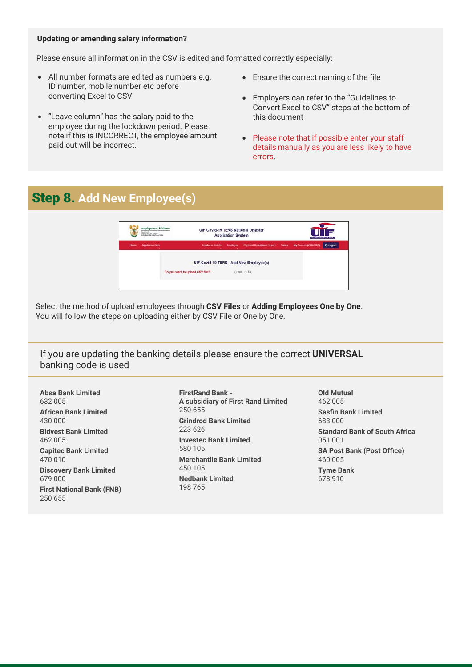#### **Updating or amending salary information?**

Please ensure all information in the CSV is edited and formatted correctly especially:

- All number formats are edited as numbers e.g. ID number, mobile number etc before converting Excel to CSV
- "Leave column" has the salary paid to the employee during the lockdown period. Please note if this is INCORRECT, the employee amount paid out will be incorrect.
- Ensure the correct naming of the file
- Employers can refer to the "Guidelines to Convert Excel to CSV" steps at the bottom of this document
- Please note that if possible enter your staff details manually as you are less likely to have errors.

# Step 8. **Add New Employee(s)**



Select the method of upload employees through **CSV Files** or **Adding Employees One by One**. You will follow the steps on uploading either by CSV File or One by One.

<span id="page-6-0"></span>If you are updating the banking details please ensure the correct **UNIVERSAL** banking code is used

**Absa Bank Limited** 632 005 **African Bank Limited** 430 000 **Bidvest Bank Limited** 462 005 **Capitec Bank Limited**

470 010

**Discovery Bank Limited** 679 000

**First National Bank (FNB)** 250 655

**FirstRand Bank - A subsidiary of First Rand Limited** 250 655 **Grindrod Bank Limited** 223 626 **Investec Bank Limited** 580 105 **Merchantile Bank Limited** 450 105 **Nedbank Limited** 198 765

**Old Mutual** 462 005 **Sasfin Bank Limited** 683 000 **Standard Bank of South Africa** 051 001 **SA Post Bank (Post Office)** 460 005 **Tyme Bank** 678 910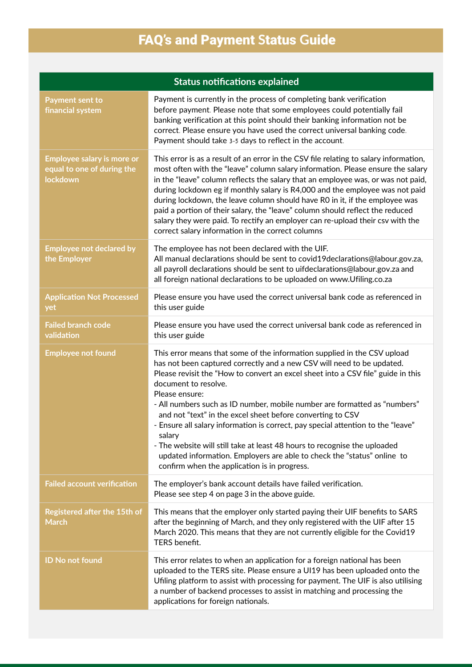# <span id="page-7-0"></span>FAQ's and Payment **S**tatus **G**uide

|                                                                                    | <b>Status notifications explained</b>                                                                                                                                                                                                                                                                                                                                                                                                                                                                                                                                                                                                                                                                                             |
|------------------------------------------------------------------------------------|-----------------------------------------------------------------------------------------------------------------------------------------------------------------------------------------------------------------------------------------------------------------------------------------------------------------------------------------------------------------------------------------------------------------------------------------------------------------------------------------------------------------------------------------------------------------------------------------------------------------------------------------------------------------------------------------------------------------------------------|
| <b>Payment sent to</b><br>financial system                                         | Payment is currently in the process of completing bank verification<br>before payment. Please note that some employees could potentially fail<br>banking verification at this point should their banking information not be<br>correct. Please ensure you have used the correct universal banking code.<br>Payment should take 3-5 days to reflect in the account.                                                                                                                                                                                                                                                                                                                                                                |
| <b>Employee salary is more or</b><br>equal to one of during the<br><b>lockdown</b> | This error is as a result of an error in the CSV file relating to salary information,<br>most often with the "leave" column salary information. Please ensure the salary<br>in the "leave" column reflects the salary that an employee was, or was not paid,<br>during lockdown eg if monthly salary is R4,000 and the employee was not paid<br>during lockdown, the leave column should have RO in it, if the employee was<br>paid a portion of their salary, the "leave" column should reflect the reduced<br>salary they were paid. To rectify an employer can re-upload their csv with the<br>correct salary information in the correct columns                                                                               |
| <b>Employee not declared by</b><br>the Employer                                    | The employee has not been declared with the UIF.<br>All manual declarations should be sent to covid19declarations@labour.gov.za,<br>all payroll declarations should be sent to uifdeclarations@labour.gov.za and<br>all foreign national declarations to be uploaded on www.Ufiling.co.za                                                                                                                                                                                                                                                                                                                                                                                                                                         |
| <b>Application Not Processed</b><br>yet                                            | Please ensure you have used the correct universal bank code as referenced in<br>this user guide                                                                                                                                                                                                                                                                                                                                                                                                                                                                                                                                                                                                                                   |
| <b>Failed branch code</b><br>validation                                            | Please ensure you have used the correct universal bank code as referenced in<br>this user guide                                                                                                                                                                                                                                                                                                                                                                                                                                                                                                                                                                                                                                   |
| <b>Employee not found</b>                                                          | This error means that some of the information supplied in the CSV upload<br>has not been captured correctly and a new CSV will need to be updated.<br>Please revisit the "How to convert an excel sheet into a CSV file" guide in this<br>document to resolve.<br>Please ensure:<br>- All numbers such as ID number, mobile number are formatted as "numbers"<br>and not "text" in the excel sheet before converting to CSV<br>- Ensure all salary information is correct, pay special attention to the "leave"<br>salary<br>- The website will still take at least 48 hours to recognise the uploaded<br>updated information. Employers are able to check the "status" online to<br>confirm when the application is in progress. |
| <b>Failed account verification</b>                                                 | The employer's bank account details have failed verification.<br>Please see step 4 on page 3 in the above guide.                                                                                                                                                                                                                                                                                                                                                                                                                                                                                                                                                                                                                  |
| <b>Registered after the 15th of</b><br><b>March</b>                                | This means that the employer only started paying their UIF benefits to SARS<br>after the beginning of March, and they only registered with the UIF after 15<br>March 2020. This means that they are not currently eligible for the Covid19<br>TERS benefit.                                                                                                                                                                                                                                                                                                                                                                                                                                                                       |
| <b>ID No not found</b>                                                             | This error relates to when an application for a foreign national has been<br>uploaded to the TERS site. Please ensure a UI19 has been uploaded onto the<br>Ufiling platform to assist with processing for payment. The UIF is also utilising<br>a number of backend processes to assist in matching and processing the<br>applications for foreign nationals.                                                                                                                                                                                                                                                                                                                                                                     |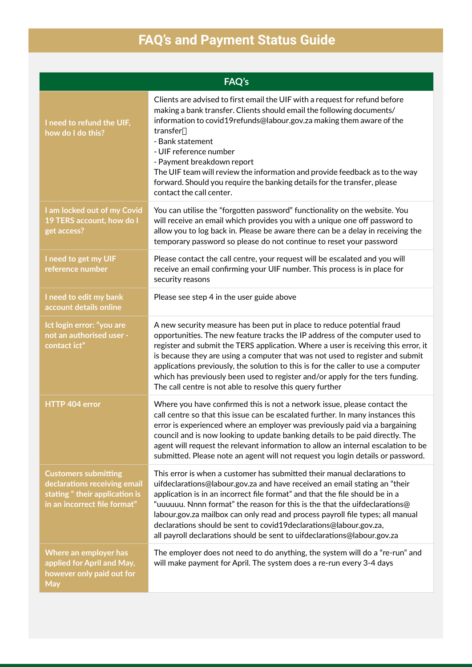# **FAQ's and Payment Status Guide**

|                                                                                                                              | <b>FAQ's</b>                                                                                                                                                                                                                                                                                                                                                                                                                                                                                                                                                     |
|------------------------------------------------------------------------------------------------------------------------------|------------------------------------------------------------------------------------------------------------------------------------------------------------------------------------------------------------------------------------------------------------------------------------------------------------------------------------------------------------------------------------------------------------------------------------------------------------------------------------------------------------------------------------------------------------------|
| I need to refund the UIF,<br>how do I do this?                                                                               | Clients are advised to first email the UIF with a request for refund before<br>making a bank transfer. Clients should email the following documents/<br>information to covid19refunds@labour.gov.za making them aware of the<br>transfer.<br>- Bank statement<br>- UIF reference number<br>- Payment breakdown report<br>The UIF team will review the information and provide feedback as to the way<br>forward. Should you require the banking details for the transfer, please<br>contact the call center.                                                     |
| I am locked out of my Covid<br>19 TERS account, how do I<br>get access?                                                      | You can utilise the "forgotten password" functionality on the website. You<br>will receive an email which provides you with a unique one off password to<br>allow you to log back in. Please be aware there can be a delay in receiving the<br>temporary password so please do not continue to reset your password                                                                                                                                                                                                                                               |
| I need to get my UIF<br>reference number                                                                                     | Please contact the call centre, your request will be escalated and you will<br>receive an email confirming your UIF number. This process is in place for<br>security reasons                                                                                                                                                                                                                                                                                                                                                                                     |
| I need to edit my bank<br>account details online                                                                             | Please see step 4 in the user guide above                                                                                                                                                                                                                                                                                                                                                                                                                                                                                                                        |
| Ict login error: "you are<br>not an authorised user -<br>contact ict"                                                        | A new security measure has been put in place to reduce potential fraud<br>opportunities. The new feature tracks the IP address of the computer used to<br>register and submit the TERS application. Where a user is receiving this error, it<br>is because they are using a computer that was not used to register and submit<br>applications previously, the solution to this is for the caller to use a computer<br>which has previously been used to register and/or apply for the ters funding.<br>The call centre is not able to resolve this query further |
| HTTP 404 error                                                                                                               | Where you have confirmed this is not a network issue, please contact the<br>call centre so that this issue can be escalated further. In many instances this<br>error is experienced where an employer was previously paid via a bargaining<br>council and is now looking to update banking details to be paid directly. The<br>agent will request the relevant information to allow an internal escalation to be<br>submitted. Please note an agent will not request you login details or password.                                                              |
| <b>Customers submitting</b><br>declarations receiving email<br>stating "their application is<br>in an incorrect file format" | This error is when a customer has submitted their manual declarations to<br>uifdeclarations@labour.gov.za and have received an email stating an "their<br>application is in an incorrect file format" and that the file should be in a<br>"uuuuuu. Nnnn format" the reason for this is the that the uifdeclarations@<br>labour.gov.za mailbox can only read and process payroll file types; all manual<br>declarations should be sent to covid19declarations@labour.gov.za,<br>all payroll declarations should be sent to uifdeclarations@labour.gov.za          |
| Where an employer has<br>applied for April and May,<br>however only paid out for<br><b>May</b>                               | The employer does not need to do anything, the system will do a "re-run" and<br>will make payment for April. The system does a re-run every 3-4 days                                                                                                                                                                                                                                                                                                                                                                                                             |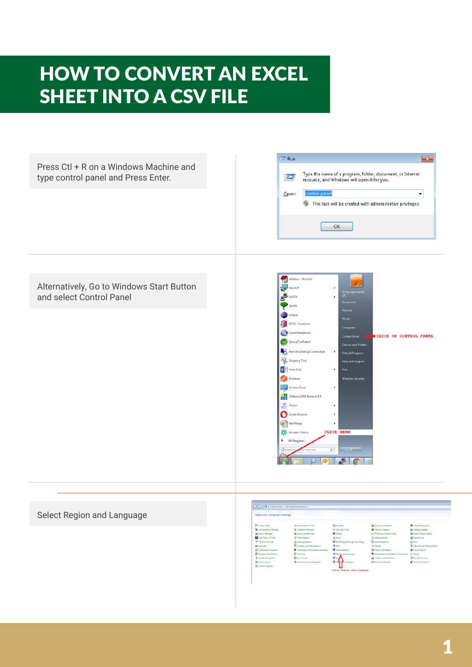# <span id="page-9-0"></span>HOW TO CONVERT AN EXCEL SHEET INTO A CSV FILE



#### Select Region and Language

| <b>Pr</b> Action Castler           | <b>B. Administrative Tools</b>        | <b>Ed</b> Astrolling                   | <b>Co</b> Eaching and Eastsse        | <b>Q</b> Caler Management             |
|------------------------------------|---------------------------------------|----------------------------------------|--------------------------------------|---------------------------------------|
| Configuration Manager              | <b>Credential Manager</b>             | 157 Date and Time                      | <b>B</b> Detack Programs             | <b>Di Curistino Gastown</b>           |
| di Cevica Manasar                  | <b>AS Decime and Printers</b>         | <b>DE Display</b>                      | <sup>2</sup> DTS Audio Control Panel | C Lass of Access Center               |
| Flash Royer (23 640)               | <sup>P</sup> Felder Oytlane           | <b>Le Famile</b>                       | <b>Getting States</b>                | all Homelinese                        |
| <sup>9</sup> AP Client Sanaday     | <b>CA Industry Options</b>            | <b>Chinese Republicance Technology</b> | <b>C</b> t Islamst Dations           | All Anim                              |
| <b>Contact Contact</b>             | <b>ID</b> Location and Other Services | <b>CA</b> KAUL                         | JP Messen                            | <b>M. Naturals and Display Carder</b> |
| <b>Ed Notification Area lesing</b> | Turfunnancy Information and Tools     | <b>Di</b> Pursaculation                | <b>C. Phone and Modum</b>            | <b>St Four Outlook</b>                |
| <b>CE Programs and Features:</b>   | <b>C</b> Taiway                       | <sup>5</sup> Rigian and Language       | 5 Tematelian and Destroy Connections | N. Sound                              |
| <b>B</b> Seemsh Recognition        | <b>B</b> Turnet Contrast              | All Sympa                              | Tanklair and Start Manu              | <b>A</b> Tendelephonesia              |
| <b>Le</b> Uner Accounts            | Newtown Anytone Upgrade               | <b>B</b> Was an Configure              | Mi Western Schmider                  | Wednes Frankl                         |
| Windows Update                     |                                       |                                        |                                      |                                       |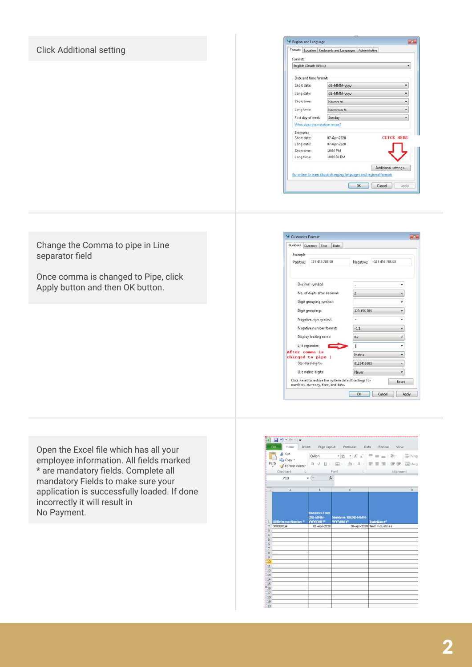#### Click Additional setting

|          |                        | Formats Location Keyboards and Languages Administrative          |  |                     |
|----------|------------------------|------------------------------------------------------------------|--|---------------------|
| Format:  |                        |                                                                  |  |                     |
|          | English (South Africa) |                                                                  |  |                     |
|          | Date and time formats  |                                                                  |  |                     |
|          | Short date:            | dd-MMM-yyyy                                                      |  | ٠                   |
|          | Long date:             | dd-MMM-yyyy                                                      |  |                     |
|          | Short time:            | hhomm tt                                                         |  |                     |
|          | Long time:             | hhommoss tt                                                      |  |                     |
|          | First day of week:     | Sunday                                                           |  |                     |
|          |                        | What does the notation mean?                                     |  |                     |
| Examples |                        |                                                                  |  |                     |
|          | Short date:            | 87-Apr-2020                                                      |  | <b>CLICK HERE</b>   |
|          | Long date:             | 07-Apr-2020                                                      |  |                     |
|          | Short time:            | 10:06 PM                                                         |  |                     |
|          | Long time:             | 10:06:01 PM                                                      |  |                     |
|          |                        |                                                                  |  | Additional settings |
|          |                        | Go online to learn about changing languages and regional formats |  |                     |
|          |                        |                                                                  |  |                     |

Change the Comma to pipe in Line separator field

Once comma is changed to Pipe, click Apply button and then OK button.

| Numbers Currency Time<br><b>Date</b>                                                         |                         |                  |  |
|----------------------------------------------------------------------------------------------|-------------------------|------------------|--|
| Example                                                                                      |                         |                  |  |
| 123 456 789.00<br>Positive:                                                                  | Negative:               | $-123456789.00$  |  |
| Decimal symbol:                                                                              | ÷                       |                  |  |
| No. of digits after decimal:                                                                 | $\overline{2}$          |                  |  |
|                                                                                              |                         |                  |  |
| Digit grouping symbol:                                                                       |                         |                  |  |
| Digit grouping:                                                                              | 123 456 789             | ٠                |  |
| Negative sign symbol:                                                                        | $-1.1$<br>٠<br>0.7<br>٠ |                  |  |
| Negative number format:                                                                      |                         |                  |  |
| Display leading zeros:                                                                       |                         |                  |  |
| List separator:                                                                              |                         | ٠                |  |
| After comma is                                                                               | Metric<br>٠             |                  |  |
| changed to pipe  <br>Standard digits:                                                        | 0123456789<br>٠         |                  |  |
| Use native digits:                                                                           | <b>Never</b>            |                  |  |
| Click Reset to restore the system default settings for<br>numbers, currency, time, and date. |                         | Reset            |  |
|                                                                                              | OK                      | Cancel<br>Apply. |  |

Open the Excel file which has all your employee information. All fields marked \* are mandatory fields. Complete all mandatory Fields to make sure your application is successfully loaded. If done incorrectly it will result in No Payment.

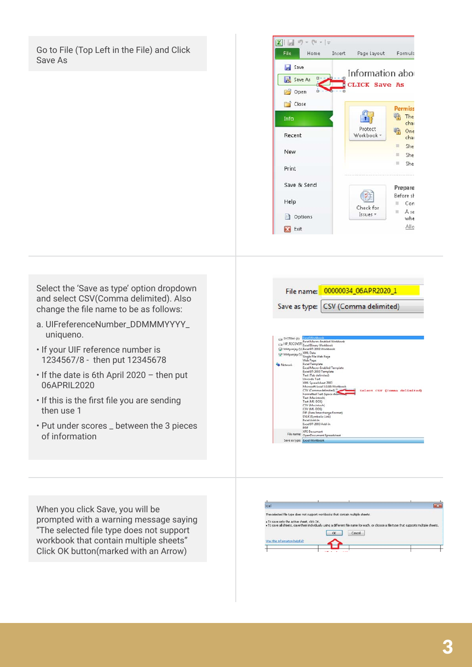Go to File (Top Left in the File) and Click Save As



Select the 'Save as type' option dropdown and select CSV(Comma delimited). Also change the file name to be as follows:

- a. UIFreferenceNumber\_DDMMMYYYY\_ uniqueno.
- If your UIF reference number is 1234567/8 - then put 12345678
- If the date is 6th April 2020 then put 06APRIL2020
- If this is the first file you are sending then use 1
- Put under scores \_ between the 3 pieces of information

File name: 00000034\_06APR2020\_1 Save as type: CSV (Comma delimited)



When you click Save, you will be prompted with a warning message saying "The selected file type does not support workbook that contain multiple sheets" Click OK button(marked with an Arrow)

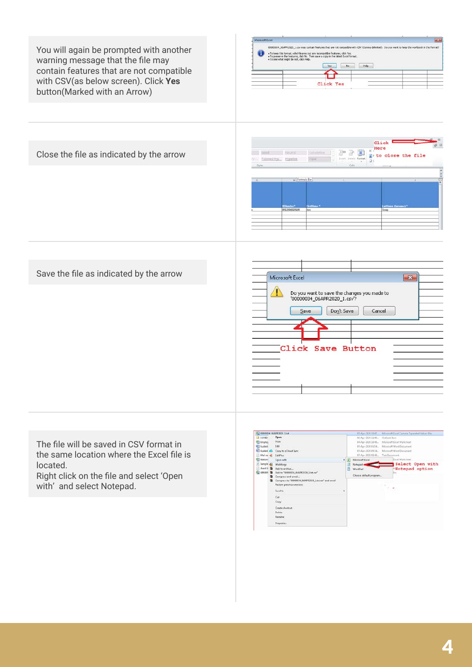

The file will be saved in CSV format in the same location where the Excel file is located.

Right click on the file and select 'Open with' and select Notepad.